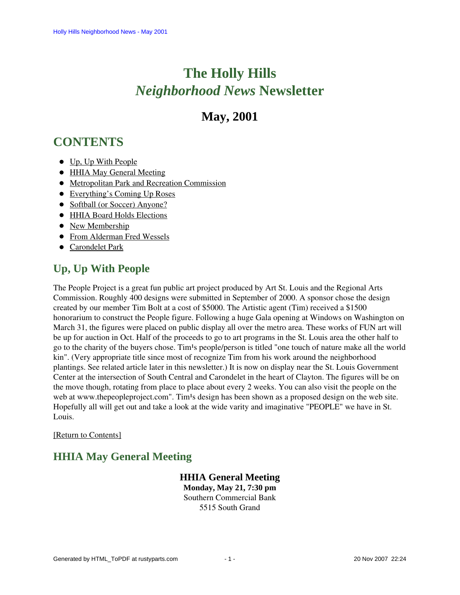# **The Holly Hills**  *Neighborhood News* **Newsletter**

# **May, 2001**

# <span id="page-0-2"></span>**CONTENTS**

- [Up, Up With People](#page-0-0)
- [HHIA May General Meeting](#page-0-1)
- [Metropolitan Park and Recreation Commission](#page-1-0)
- [Everything's Coming Up Roses](#page-1-1)
- [Softball \(or Soccer\) Anyone?](#page-2-0)
- [HHIA Board Holds Elections](#page-2-1)
- [New Membership](#page-3-0)
- [From Alderman Fred Wessels](#page-3-1)
- **•** [Carondelet Park](#page-4-0)

# <span id="page-0-0"></span>**Up, Up With People**

The People Project is a great fun public art project produced by Art St. Louis and the Regional Arts Commission. Roughly 400 designs were submitted in September of 2000. A sponsor chose the design created by our member Tim Bolt at a cost of \$5000. The Artistic agent (Tim) received a \$1500 honorarium to construct the People figure. Following a huge Gala opening at Windows on Washington on March 31, the figures were placed on public display all over the metro area. These works of FUN art will be up for auction in Oct. Half of the proceeds to go to art programs in the St. Louis area the other half to go to the charity of the buyers chose. Tim<sup>1</sup>s people/person is titled "one touch of nature make all the world kin". (Very appropriate title since most of recognize Tim from his work around the neighborhood plantings. See related article later in this newsletter.) It is now on display near the St. Louis Government Center at the intersection of South Central and Carondelet in the heart of Clayton. The figures will be on the move though, rotating from place to place about every 2 weeks. You can also visit the people on the web at www.thepeopleproject.com". Tim<sup>1</sup>s design has been shown as a proposed design on the web site. Hopefully all will get out and take a look at the wide varity and imaginative "PEOPLE" we have in St. Louis.

#### <span id="page-0-1"></span>[\[Return to Contents\]](#page-0-2)

# **HHIA May General Meeting**

# **HHIA General Meeting**

**Monday, May 21, 7:30 pm** Southern Commercial Bank 5515 South Grand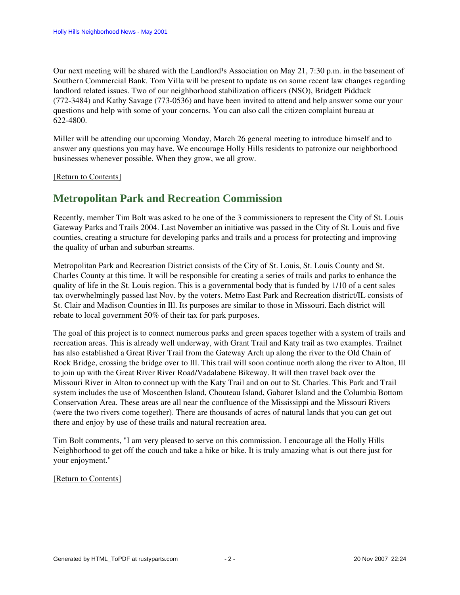Our next meeting will be shared with the Landlord<sup>1</sup>s Association on May 21, 7:30 p.m. in the basement of Southern Commercial Bank. Tom Villa will be present to update us on some recent law changes regarding landlord related issues. Two of our neighborhood stabilization officers (NSO), Bridgett Pidduck (772-3484) and Kathy Savage (773-0536) and have been invited to attend and help answer some our your questions and help with some of your concerns. You can also call the citizen complaint bureau at 622-4800.

Miller will be attending our upcoming Monday, March 26 general meeting to introduce himself and to answer any questions you may have. We encourage Holly Hills residents to patronize our neighborhood businesses whenever possible. When they grow, we all grow.

#### <span id="page-1-0"></span>[\[Return to Contents\]](#page-0-2)

### **Metropolitan Park and Recreation Commission**

Recently, member Tim Bolt was asked to be one of the 3 commissioners to represent the City of St. Louis Gateway Parks and Trails 2004. Last November an initiative was passed in the City of St. Louis and five counties, creating a structure for developing parks and trails and a process for protecting and improving the quality of urban and suburban streams.

Metropolitan Park and Recreation District consists of the City of St. Louis, St. Louis County and St. Charles County at this time. It will be responsible for creating a series of trails and parks to enhance the quality of life in the St. Louis region. This is a governmental body that is funded by 1/10 of a cent sales tax overwhelmingly passed last Nov. by the voters. Metro East Park and Recreation district/IL consists of St. Clair and Madison Counties in Ill. Its purposes are similar to those in Missouri. Each district will rebate to local government 50% of their tax for park purposes.

The goal of this project is to connect numerous parks and green spaces together with a system of trails and recreation areas. This is already well underway, with Grant Trail and Katy trail as two examples. Trailnet has also established a Great River Trail from the Gateway Arch up along the river to the Old Chain of Rock Bridge, crossing the bridge over to Ill. This trail will soon continue north along the river to Alton, Ill to join up with the Great River River Road/Vadalabene Bikeway. It will then travel back over the Missouri River in Alton to connect up with the Katy Trail and on out to St. Charles. This Park and Trail system includes the use of Moscenthen Island, Chouteau Island, Gabaret Island and the Columbia Bottom Conservation Area. These areas are all near the confluence of the Mississippi and the Missouri Rivers (were the two rivers come together). There are thousands of acres of natural lands that you can get out there and enjoy by use of these trails and natural recreation area.

Tim Bolt comments, "I am very pleased to serve on this commission. I encourage all the Holly Hills Neighborhood to get off the couch and take a hike or bike. It is truly amazing what is out there just for your enjoyment."

#### <span id="page-1-1"></span>[\[Return to Contents\]](#page-0-2)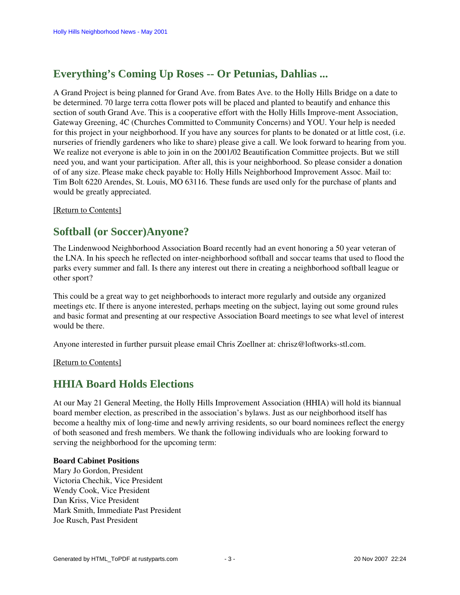# **Everything's Coming Up Roses -- Or Petunias, Dahlias ...**

A Grand Project is being planned for Grand Ave. from Bates Ave. to the Holly Hills Bridge on a date to be determined. 70 large terra cotta flower pots will be placed and planted to beautify and enhance this section of south Grand Ave. This is a cooperative effort with the Holly Hills Improve-ment Association, Gateway Greening, 4C (Churches Committed to Community Concerns) and YOU. Your help is needed for this project in your neighborhood. If you have any sources for plants to be donated or at little cost, (i.e. nurseries of friendly gardeners who like to share) please give a call. We look forward to hearing from you. We realize not everyone is able to join in on the 2001/02 Beautification Committee projects. But we still need you, and want your participation. After all, this is your neighborhood. So please consider a donation of of any size. Please make check payable to: Holly Hills Neighborhood Improvement Assoc. Mail to: Tim Bolt 6220 Arendes, St. Louis, MO 63116. These funds are used only for the purchase of plants and would be greatly appreciated.

[\[Return to Contents\]](#page-0-2)

## <span id="page-2-0"></span>**Softball (or Soccer)Anyone?**

The Lindenwood Neighborhood Association Board recently had an event honoring a 50 year veteran of the LNA. In his speech he reflected on inter-neighborhood softball and soccar teams that used to flood the parks every summer and fall. Is there any interest out there in creating a neighborhood softball league or other sport?

This could be a great way to get neighborhoods to interact more regularly and outside any organized meetings etc. If there is anyone interested, perhaps meeting on the subject, laying out some ground rules and basic format and presenting at our respective Association Board meetings to see what level of interest would be there.

Anyone interested in further pursuit please email Chris Zoellner at: chrisz@loftworks-stl.com.

[\[Return to Contents\]](#page-0-2)

### <span id="page-2-1"></span>**HHIA Board Holds Elections**

At our May 21 General Meeting, the Holly Hills Improvement Association (HHIA) will hold its biannual board member election, as prescribed in the association's bylaws. Just as our neighborhood itself has become a healthy mix of long-time and newly arriving residents, so our board nominees reflect the energy of both seasoned and fresh members. We thank the following individuals who are looking forward to serving the neighborhood for the upcoming term:

#### **Board Cabinet Positions**

Mary Jo Gordon, President Victoria Chechik, Vice President Wendy Cook, Vice President Dan Kriss, Vice President Mark Smith, Immediate Past President Joe Rusch, Past President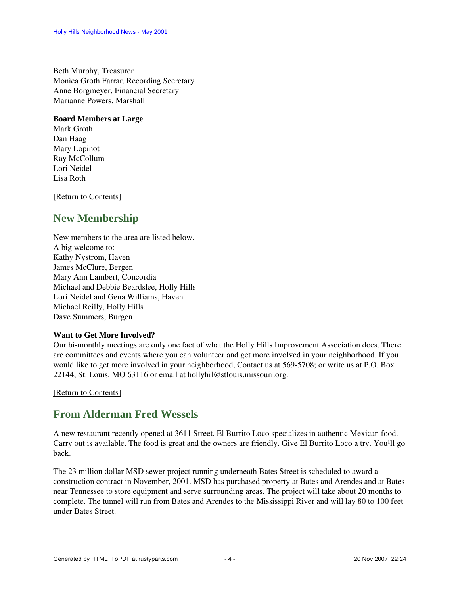Beth Murphy, Treasurer Monica Groth Farrar, Recording Secretary Anne Borgmeyer, Financial Secretary Marianne Powers, Marshall

#### **Board Members at Large**

Mark Groth Dan Haag Mary Lopinot Ray McCollum Lori Neidel Lisa Roth

[\[Return to Contents\]](#page-0-2)

## <span id="page-3-0"></span>**New Membership**

New members to the area are listed below. A big welcome to: Kathy Nystrom, Haven James McClure, Bergen Mary Ann Lambert, Concordia Michael and Debbie Beardslee, Holly Hills Lori Neidel and Gena Williams, Haven Michael Reilly, Holly Hills Dave Summers, Burgen

#### **Want to Get More Involved?**

Our bi-monthly meetings are only one fact of what the Holly Hills Improvement Association does. There are committees and events where you can volunteer and get more involved in your neighborhood. If you would like to get more involved in your neighborhood, Contact us at 569-5708; or write us at P.O. Box 22144, St. Louis, MO 63116 or email at hollyhil@stlouis.missouri.org.

[\[Return to Contents\]](#page-0-2)

### <span id="page-3-1"></span>**From Alderman Fred Wessels**

A new restaurant recently opened at 3611 Street. El Burrito Loco specializes in authentic Mexican food. Carry out is available. The food is great and the owners are friendly. Give El Burrito Loco a try. You<sup>1</sup>ll go back.

The 23 million dollar MSD sewer project running underneath Bates Street is scheduled to award a construction contract in November, 2001. MSD has purchased property at Bates and Arendes and at Bates near Tennessee to store equipment and serve surrounding areas. The project will take about 20 months to complete. The tunnel will run from Bates and Arendes to the Mississippi River and will lay 80 to 100 feet under Bates Street.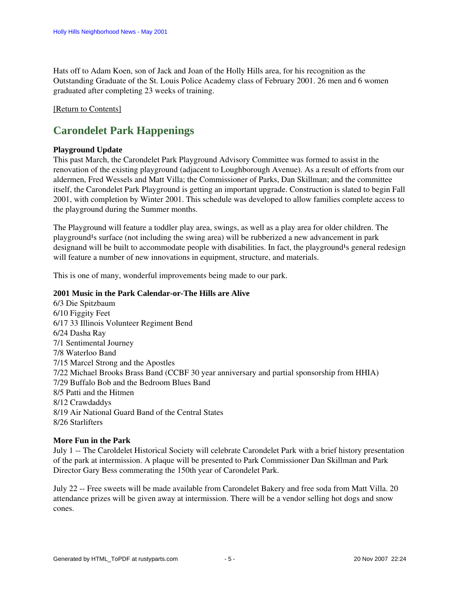Hats off to Adam Koen, son of Jack and Joan of the Holly Hills area, for his recognition as the Outstanding Graduate of the St. Louis Police Academy class of February 2001. 26 men and 6 women graduated after completing 23 weeks of training.

#### <span id="page-4-0"></span>[\[Return to Contents\]](#page-0-2)

## **Carondelet Park Happenings**

#### **Playground Update**

This past March, the Carondelet Park Playground Advisory Committee was formed to assist in the renovation of the existing playground (adjacent to Loughborough Avenue). As a result of efforts from our aldermen, Fred Wessels and Matt Villa; the Commissioner of Parks, Dan Skillman; and the committee itself, the Carondelet Park Playground is getting an important upgrade. Construction is slated to begin Fall 2001, with completion by Winter 2001. This schedule was developed to allow families complete access to the playground during the Summer months.

The Playground will feature a toddler play area, swings, as well as a play area for older children. The playground<sup>1</sup>s surface (not including the swing area) will be rubberized a new advancement in park designand will be built to accommodate people with disabilities. In fact, the playground<sup>1</sup>s general redesign will feature a number of new innovations in equipment, structure, and materials.

This is one of many, wonderful improvements being made to our park.

#### **2001 Music in the Park Calendar-or-The Hills are Alive**

6/3 Die Spitzbaum 6/10 Figgity Feet 6/17 33 Illinois Volunteer Regiment Bend 6/24 Dasha Ray 7/1 Sentimental Journey 7/8 Waterloo Band 7/15 Marcel Strong and the Apostles 7/22 Michael Brooks Brass Band (CCBF 30 year anniversary and partial sponsorship from HHIA) 7/29 Buffalo Bob and the Bedroom Blues Band 8/5 Patti and the Hitmen 8/12 Crawdaddys 8/19 Air National Guard Band of the Central States 8/26 Starlifters

#### **More Fun in the Park**

July 1 -- The Caroldelet Historical Society will celebrate Carondelet Park with a brief history presentation of the park at intermission. A plaque will be presented to Park Commissioner Dan Skillman and Park Director Gary Bess commerating the 150th year of Carondelet Park.

July 22 -- Free sweets will be made available from Carondelet Bakery and free soda from Matt Villa. 20 attendance prizes will be given away at intermission. There will be a vendor selling hot dogs and snow cones.